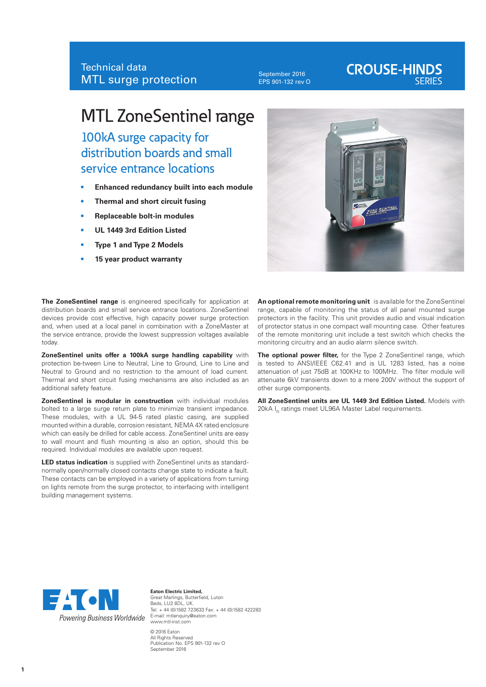September 2016 EPS 901-132 rev O

# **CROUSE-HINDS**

# MTL ZoneSentinel range

100kA surge capacity for distribution boards and small service entrance locations

- **• Enhanced redundancy built into each module**
- **• Thermal and short circuit fusing**
- **• Replaceable bolt-in modules**
- **• UL 1449 3rd Edition Listed**
- **• Type 1 and Type 2 Models**
- **• 15 year product warranty**

**The ZoneSentinel range** is engineered specifically for application at distribution boards and small service entrance locations. ZoneSentinel devices provide cost effective, high capacity power surge protection and, when used at a local panel in combination with a ZoneMaster at the service entrance, provide the lowest suppression voltages available today.

**ZoneSentinel units offer a 100kA surge handling capability** with protection be-tween Line to Neutral, Line to Ground, Line to Line and Neutral to Ground and no restriction to the amount of load current. Thermal and short circuit fusing mechanisms are also included as an additional safety feature.

**ZoneSentinel is modular in construction** with individual modules bolted to a large surge return plate to minimize transient impedance. These modules, with a UL 94-5 rated plastic casing, are supplied mounted within a durable, corrosion resistant, NEMA 4X rated enclosure which can easily be drilled for cable access. ZoneSentinel units are easy to wall mount and flush mounting is also an option, should this be required. Individual modules are available upon request.

**LED status indication** is supplied with ZoneSentinel units as standardnormally open/normally closed contacts change state to indicate a fault. These contacts can be employed in a variety of applications from turning on lights remote from the surge protector, to interfacing with intelligent building management systems.



**An optional remote monitoring unit** is available for the ZoneSentinel range, capable of monitoring the status of all panel mounted surge protectors in the facility. This unit provides audio and visual indication of protector status in one compact wall mounting case. Other features of the remote monitoring unit include a test switch which checks the monitoring circuitry and an audio alarm silence switch.

**The optional power filter,** for the Type 2 ZoneSentinel range, which is tested to ANSI/IEEE C62.41 and is UL 1283 listed, has a noise attenuation of just 75dB at 100KHz to 100MHz. The filter module will attenuate 6kV transients down to a mere 200V without the support of other surge components.

**All ZoneSentinel units are UL 1449 3rd Edition Listed.** Models with 20kA I<sub>n</sub> ratings meet UL96A Master Label requirements.



**Eaton Electric Limited,** Great Marlings, Butterfield, Luton Beds, LU2 8DL, UK. Tel: + 44 (0)1582 723633 Fax: + 44 (0)1582 422283 www.mtl-inst.com © 2016 Eaton

All Rights Reserved Publication No. EPS 901-132 rev O September 2016